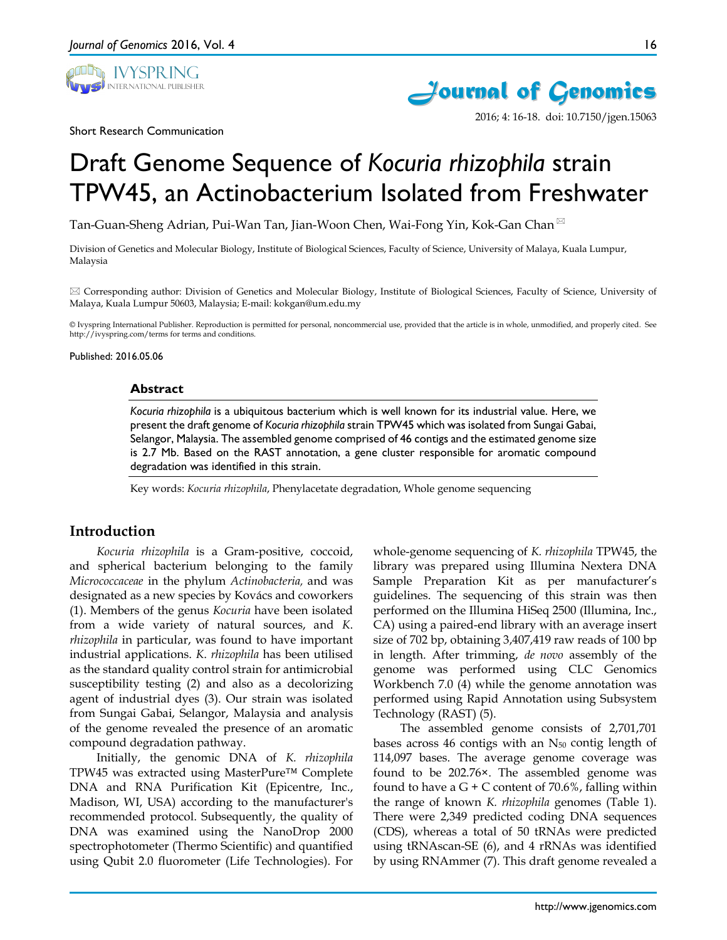



2016; 4: 16-18. doi: 10.7150/jgen.15063

Short Research Communication

# Draft Genome Sequence of *Kocuria rhizophila* strain TPW45, an Actinobacterium Isolated from Freshwater

Tan-Guan-Sheng Adrian, Pui-Wan Tan, Jian-Woon Chen, Wai-Fong Yin, Kok-Gan Chan

Division of Genetics and Molecular Biology, Institute of Biological Sciences, Faculty of Science, University of Malaya, Kuala Lumpur, Malaysia

 $\boxtimes$  Corresponding author: Division of Genetics and Molecular Biology, Institute of Biological Sciences, Faculty of Science, University of Malaya, Kuala Lumpur 50603, Malaysia; E-mail: kokgan@um.edu.my

© Ivyspring International Publisher. Reproduction is permitted for personal, noncommercial use, provided that the article is in whole, unmodified, and properly cited. See http://ivyspring.com/terms for terms and conditions.

Published: 2016.05.06

#### **Abstract**

*Kocuria rhizophila* is a ubiquitous bacterium which is well known for its industrial value. Here, we present the draft genome of *Kocuria rhizophila* strain TPW45 which was isolated from Sungai Gabai, Selangor, Malaysia. The assembled genome comprised of 46 contigs and the estimated genome size is 2.7 Mb. Based on the RAST annotation, a gene cluster responsible for aromatic compound degradation was identified in this strain.

Key words: *Kocuria rhizophila*, Phenylacetate degradation, Whole genome sequencing

# **Introduction**

*Kocuria rhizophila* is a Gram-positive, coccoid, and spherical bacterium belonging to the family *Micrococcaceae* in the phylum *Actinobacteria,* and was designated as a new species by Kovács and coworkers (1). Members of the genus *Kocuria* have been isolated from a wide variety of natural sources, and *K*. *rhizophila* in particular, was found to have important industrial applications. *K*. *rhizophila* has been utilised as the standard quality control strain for antimicrobial susceptibility testing (2) and also as a decolorizing agent of industrial dyes (3). Our strain was isolated from Sungai Gabai, Selangor, Malaysia and analysis of the genome revealed the presence of an aromatic compound degradation pathway.

Initially, the genomic DNA of *K. rhizophila* TPW45 was extracted using MasterPure™ Complete DNA and RNA Purification Kit (Epicentre, Inc., Madison, WI, USA) according to the manufacturer's recommended protocol. Subsequently, the quality of DNA was examined using the NanoDrop 2000 spectrophotometer (Thermo Scientific) and quantified using Qubit 2.0 fluorometer (Life Technologies). For

whole-genome sequencing of *K. rhizophila* TPW45, the library was prepared using Illumina Nextera DNA Sample Preparation Kit as per manufacturer's guidelines. The sequencing of this strain was then performed on the Illumina HiSeq 2500 (Illumina, Inc., CA) using a paired-end library with an average insert size of 702 bp, obtaining 3,407,419 raw reads of 100 bp in length. After trimming, *de novo* assembly of the genome was performed using CLC Genomics Workbench 7.0 (4) while the genome annotation was performed using Rapid Annotation using Subsystem Technology (RAST) (5).

The assembled genome consists of 2,701,701 bases across 46 contigs with an  $N_{50}$  contig length of 114,097 bases. The average genome coverage was found to be 202.76×. The assembled genome was found to have a  $G + C$  content of 70.6%, falling within the range of known *K. rhizophila* genomes (Table 1). There were 2,349 predicted coding DNA sequences (CDS), whereas a total of 50 tRNAs were predicted using tRNAscan-SE (6), and 4 rRNAs was identified by using RNAmmer (7). This draft genome revealed a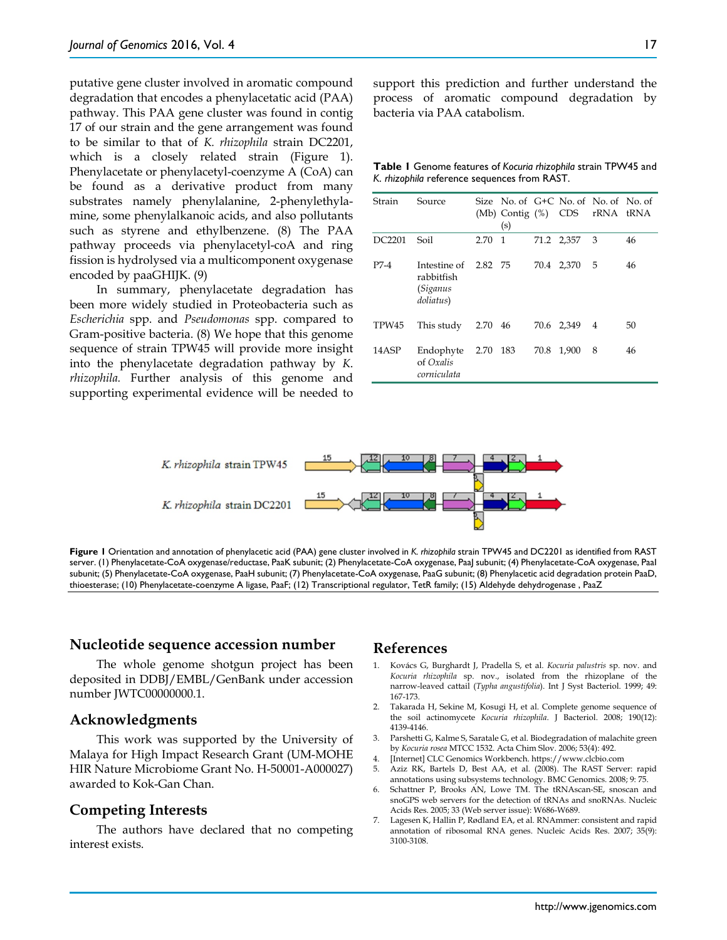putative gene cluster involved in aromatic compound degradation that encodes a phenylacetatic acid (PAA) pathway. This PAA gene cluster was found in contig 17 of our strain and the gene arrangement was found to be similar to that of *K. rhizophila* strain DC2201, which is a closely related strain (Figure 1). Phenylacetate or phenylacetyl-coenzyme A (CoA) can be found as a derivative product from many substrates namely phenylalanine, 2-phenylethylamine, some phenylalkanoic acids, and also pollutants such as styrene and ethylbenzene. (8) The PAA pathway proceeds via phenylacetyl-coA and ring fission is hydrolysed via a multicomponent oxygenase encoded by paaGHIJK. (9)

In summary, phenylacetate degradation has been more widely studied in Proteobacteria such as *Escherichia* spp. and *Pseudomonas* spp. compared to Gram-positive bacteria. (8) We hope that this genome sequence of strain TPW45 will provide more insight into the phenylacetate degradation pathway by *K*. *rhizophila.* Further analysis of this genome and supporting experimental evidence will be needed to

support this prediction and further understand the process of aromatic compound degradation by bacteria via PAA catabolism.

**Table 1** Genome features of *Kocuria rhizophila* strain TPW45 and *K*. *rhizophila* reference sequences from RAST.

| Strain | Source                                                             |      | (s)          |      |            | Size No. of G+C No. of No. of No. of<br>(Mb) Contig (%) CDS rRNA tRNA |    |
|--------|--------------------------------------------------------------------|------|--------------|------|------------|-----------------------------------------------------------------------|----|
| DC2201 | Soil                                                               | 2.70 | $\mathbf{1}$ |      | 71.2 2,357 | 3                                                                     | 46 |
| $P7-4$ | Intestine of 2.82 75<br>rabbitfish<br><i>(Siganus</i><br>doliatus) |      |              |      | 70.4 2,370 | 5                                                                     | 46 |
| TPW45  | This study                                                         | 2.70 | - 46         |      | 70.6 2,349 | 4                                                                     | 50 |
| 14 ASP | Endophyte<br>of Oxalis<br>corniculata                              | 2.70 | - 183        | 70.8 | 1.900      | 8                                                                     | 46 |



**Figure 1** Orientation and annotation of phenylacetic acid (PAA) gene cluster involved in *K. rhizophila* strain TPW45 and DC2201 as identified from RAST server. (1) Phenylacetate-CoA oxygenase/reductase, PaaK subunit; (2) Phenylacetate-CoA oxygenase, PaaJ subunit; (4) Phenylacetate-CoA oxygenase, PaaI subunit; (5) Phenylacetate-CoA oxygenase, PaaH subunit; (7) Phenylacetate-CoA oxygenase, PaaG subunit; (8) Phenylacetic acid degradation protein PaaD, thioesterase; (10) Phenylacetate-coenzyme A ligase, PaaF; (12) Transcriptional regulator, TetR family; (15) Aldehyde dehydrogenase , PaaZ

## **Nucleotide sequence accession number**

The whole genome shotgun project has been deposited in DDBJ/EMBL/GenBank under accession number JWTC00000000.1.

## **Acknowledgments**

This work was supported by the University of Malaya for High Impact Research Grant (UM-MOHE HIR Nature Microbiome Grant No. H-50001-A000027) awarded to Kok-Gan Chan.

# **Competing Interests**

The authors have declared that no competing interest exists.

## **References**

- 1. Kovács G, Burghardt J, Pradella S, et al. *Kocuria palustris* sp. nov. and *Kocuria rhizophila* sp. nov., isolated from the rhizoplane of the narrow-leaved cattail (*Typha angustifolia*). Int J Syst Bacteriol. 1999; 49: 167-173.
- 2. Takarada H, Sekine M, Kosugi H, et al. Complete genome sequence of the soil actinomycete *Kocuria rhizophila*. J Bacteriol. 2008; 190(12): 4139-4146.
- 3. Parshetti G, Kalme S, Saratale G, et al. Biodegradation of malachite green by *Kocuria rosea* MTCC 1532. Acta Chim Slov. 2006; 53(4): 492.
- 4. [Internet] CLC Genomics Workbench. https://www.clcbio.com
- 5. Aziz RK, Bartels D, Best AA, et al. (2008). The RAST Server: rapid annotations using subsystems technology. BMC Genomics. 2008; 9: 75.
- 6. Schattner P, Brooks AN, Lowe TM. The tRNAscan-SE, snoscan and snoGPS web servers for the detection of tRNAs and snoRNAs. Nucleic Acids Res. 2005; 33 (Web server issue): W686-W689.
- Lagesen K, Hallin P, Rødland EA, et al. RNAmmer: consistent and rapid annotation of ribosomal RNA genes. Nucleic Acids Res. 2007; 35(9): 3100-3108.